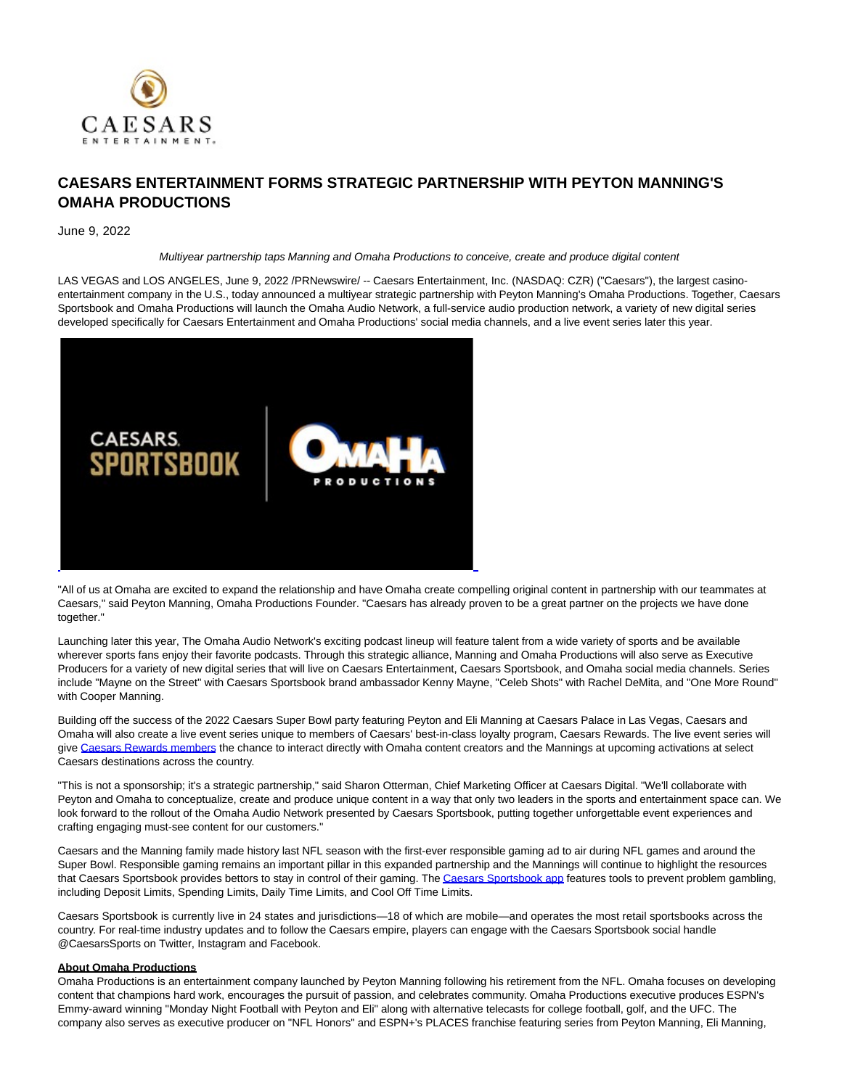

## **CAESARS ENTERTAINMENT FORMS STRATEGIC PARTNERSHIP WITH PEYTON MANNING'S OMAHA PRODUCTIONS**

## June 9, 2022

Multiyear partnership taps Manning and Omaha Productions to conceive, create and produce digital content

LAS VEGAS and LOS ANGELES, June 9, 2022 /PRNewswire/ -- Caesars Entertainment, Inc. (NASDAQ: CZR) ("Caesars"), the largest casinoentertainment company in the U.S., today announced a multiyear strategic partnership with Peyton Manning's Omaha Productions. Together, Caesars Sportsbook and Omaha Productions will launch the Omaha Audio Network, a full-service audio production network, a variety of new digital series developed specifically for Caesars Entertainment and Omaha Productions' social media channels, and a live event series later this year.



"All of us at Omaha are excited to expand the relationship and have Omaha create compelling original content in partnership with our teammates at Caesars," said Peyton Manning, Omaha Productions Founder. "Caesars has already proven to be a great partner on the projects we have done together."

Launching later this year, The Omaha Audio Network's exciting podcast lineup will feature talent from a wide variety of sports and be available wherever sports fans enjoy their favorite podcasts. Through this strategic alliance, Manning and Omaha Productions will also serve as Executive Producers for a variety of new digital series that will live on Caesars Entertainment, Caesars Sportsbook, and Omaha social media channels. Series include "Mayne on the Street" with Caesars Sportsbook brand ambassador Kenny Mayne, "Celeb Shots" with Rachel DeMita, and "One More Round" with Cooper Manning.

Building off the success of the 2022 Caesars Super Bowl party featuring Peyton and Eli Manning at Caesars Palace in Las Vegas, Caesars and Omaha will also create a live event series unique to members of Caesars' best-in-class loyalty program, Caesars Rewards. The live event series will give [Caesars Rewards members t](https://c212.net/c/link/?t=0&l=en&o=3562760-1&h=1354505431&u=https%3A%2F%2Fwww.caesars.com%2Fmyrewards&a=Caesars+Rewards+members)he chance to interact directly with Omaha content creators and the Mannings at upcoming activations at select Caesars destinations across the country.

"This is not a sponsorship; it's a strategic partnership," said Sharon Otterman, Chief Marketing Officer at Caesars Digital. "We'll collaborate with Peyton and Omaha to conceptualize, create and produce unique content in a way that only two leaders in the sports and entertainment space can. We look forward to the rollout of the Omaha Audio Network presented by Caesars Sportsbook, putting together unforgettable event experiences and crafting engaging must-see content for our customers."

Caesars and the Manning family made history last NFL season with the first-ever responsible gaming ad to air during NFL games and around the Super Bowl. Responsible gaming remains an important pillar in this expanded partnership and the Mannings will continue to highlight the resources that Caesars Sportsbook provides bettors to stay in control of their gaming. Th[e Caesars Sportsbook app f](https://c212.net/c/link/?t=0&l=en&o=3562760-1&h=1293749499&u=https%3A%2F%2Fwww.caesars.com%2Fsportsbook&a=Caesars+Sportsbook+app)eatures tools to prevent problem gambling, including Deposit Limits, Spending Limits, Daily Time Limits, and Cool Off Time Limits.

Caesars Sportsbook is currently live in 24 states and jurisdictions—18 of which are mobile—and operates the most retail sportsbooks across the country. For real-time industry updates and to follow the Caesars empire, players can engage with the Caesars Sportsbook social handle @CaesarsSports on Twitter, Instagram and Facebook.

## **About Omaha Productions**

Omaha Productions is an entertainment company launched by Peyton Manning following his retirement from the NFL. Omaha focuses on developing content that champions hard work, encourages the pursuit of passion, and celebrates community. Omaha Productions executive produces ESPN's Emmy-award winning "Monday Night Football with Peyton and Eli" along with alternative telecasts for college football, golf, and the UFC. The company also serves as executive producer on "NFL Honors" and ESPN+'s PLACES franchise featuring series from Peyton Manning, Eli Manning,